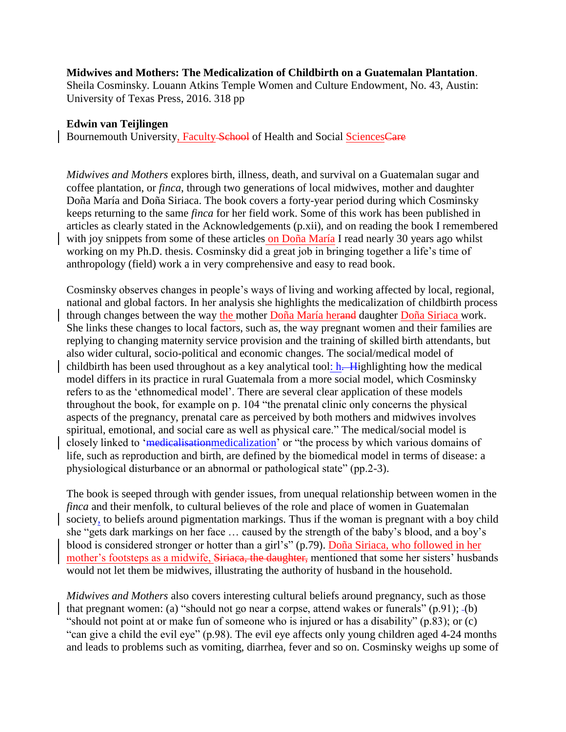## **Midwives and Mothers: The Medicalization of Childbirth on a Guatemalan Plantation**.

Sheila Cosminsky. [Louann Atkins Temple Women and Culture Endowment,](https://utpress.utexas.edu/books/series/louann-atkins-temple-women-and-culture-endowment-32) No. 43, Austin: University of Texas Press, 2016. 318 pp

## **Edwin van Teijlingen**

Bournemouth University, Faculty School of Health and Social SciencesCare

*Midwives and Mothers* explores birth, illness, death, and survival on a Guatemalan sugar and coffee plantation, or *finca*, through two generations of local midwives, mother and daughter Doña María and Doña Siriaca. The book covers a forty-year period during which Cosminsky keeps returning to the same *finca* for her field work. Some of this work has been published in articles as clearly stated in the Acknowledgements (p.xii), and on reading the book I remembered with joy snippets from some of these articles on Doña María I read nearly 30 years ago whilst working on my Ph.D. thesis. Cosminsky did a great job in bringing together a life's time of anthropology (field) work a in very comprehensive and easy to read book.

Cosminsky observes changes in people's ways of living and working affected by local, regional, national and global factors. In her analysis she highlights the medicalization of childbirth process through changes between the way the mother Doña María herand daughter Doña Siriaca work. She links these changes to local factors, such as, the way pregnant women and their families are replying to changing maternity service provision and the training of skilled birth attendants, but also wider cultural, socio-political and economic changes. The social/medical model of childbirth has been used throughout as a key analytical tool: h. Highlighting how the medical model differs in its practice in rural Guatemala from a more social model, which Cosminsky refers to as the 'ethnomedical model'. There are several clear application of these models throughout the book, for example on p. 104 "the prenatal clinic only concerns the physical aspects of the pregnancy, prenatal care as perceived by both mothers and midwives involves spiritual, emotional, and social care as well as physical care." The medical/social model is closely linked to 'medicalisationmedicalization' or "the process by which various domains of life, such as reproduction and birth, are defined by the biomedical model in terms of disease: a physiological disturbance or an abnormal or pathological state" (pp.2-3).

The book is seeped through with gender issues, from unequal relationship between women in the *finca* and their menfolk, to cultural believes of the role and place of women in Guatemalan society, to beliefs around pigmentation markings. Thus if the woman is pregnant with a boy child she "gets dark markings on her face … caused by the strength of the baby's blood, and a boy's blood is considered stronger or hotter than a girl's" (p.79). Doña Siriaca, who followed in her mother's footsteps as a midwife, Siriaca, the daughter, mentioned that some her sisters' husbands would not let them be midwives, illustrating the authority of husband in the household.

*Midwives and Mothers* also covers interesting cultural beliefs around pregnancy, such as those that pregnant women: (a) "should not go near a corpse, attend wakes or funerals" (p.91); (b) "should not point at or make fun of someone who is injured or has a disability" (p.83); or (c) "can give a child the evil eye" (p.98). The evil eye affects only young children aged 4-24 months and leads to problems such as vomiting, diarrhea, fever and so on. Cosminsky weighs up some of